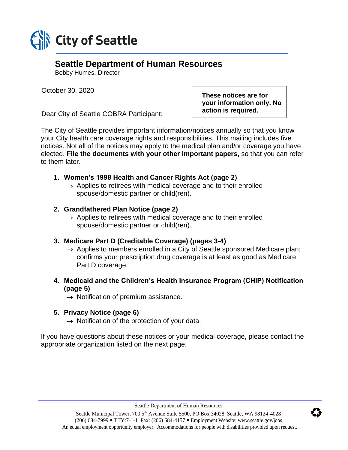

# **Seattle Department of Human Resources**

Bobby Humes, Director

October 30, 2020

Dear City of Seattle COBRA Participant:

**These notices are for your information only. No action is required.**

The City of Seattle provides important information/notices annually so that you know your City health care coverage rights and responsibilities. This mailing includes five notices. Not all of the notices may apply to the medical plan and/or coverage you have elected. **File the documents with your other important papers,** so that you can refer to them later.

## **1. Women's 1998 Health and Cancer Rights Act (page 2)**

 $\rightarrow$  Applies to retirees with medical coverage and to their enrolled spouse/domestic partner or child(ren).

## **2. Grandfathered Plan Notice (page 2)**

 $\rightarrow$  Applies to retirees with medical coverage and to their enrolled spouse/domestic partner or child(ren).

## **3. Medicare Part D (Creditable Coverage) (pages 3-4)**

- $\rightarrow$  Applies to members enrolled in a City of Seattle sponsored Medicare plan; confirms your prescription drug coverage is at least as good as Medicare Part D coverage.
- **4. Medicaid and the Children's Health Insurance Program (CHIP) Notification (page 5)**
	- $\rightarrow$  Notification of premium assistance.

## **5. Privacy Notice (page 6)**

 $\rightarrow$  Notification of the protection of your data.

If you have questions about these notices or your medical coverage, please contact the appropriate organization listed on the next page.

Seattle Department of Human Resources

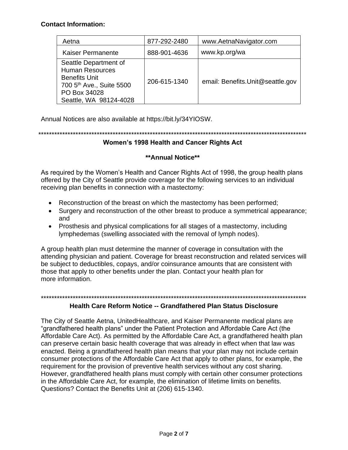#### **Contact Information:**

| Aetna                                                                                                                                                     | 877-292-2480 | www.AetnaNavigator.com           |
|-----------------------------------------------------------------------------------------------------------------------------------------------------------|--------------|----------------------------------|
| Kaiser Permanente                                                                                                                                         | 888-901-4636 | www.kp.org/wa                    |
| Seattle Department of<br><b>Human Resources</b><br><b>Benefits Unit</b><br>700 5 <sup>th</sup> Ave., Suite 5500<br>PO Box 34028<br>Seattle, WA 98124-4028 | 206-615-1340 | email: Benefits.Unit@seattle.gov |

Annual Notices are also available at https://bit.ly/34YIOSW.

\*\*\*\*\*\*\*\*\*\*\*\*\*\*\*\*\*\*\*\*\*\*\*\*\*\*\*\*\*\*\*\*\*\*\*\*\*\*\*\*\*\*\*\*\*\*\*\*\*\*\*\*\*\*\*\*\*\*\*\*\*\*\*\*\*\*\*\*\*\*\*\*\*\*\*\*\*\*\*\*\*\*\*\*\*\*\*\*\*\*\*\*\*\*\*\*\*\*\*\*\*

### **Women's 1998 Health and Cancer Rights Act**

### **\*\*Annual Notice\*\***

As required by the Women's Health and Cancer Rights Act of 1998, the group health plans offered by the City of Seattle provide coverage for the following services to an individual receiving plan benefits in connection with a mastectomy:

- Reconstruction of the breast on which the mastectomy has been performed;
- Surgery and reconstruction of the other breast to produce a symmetrical appearance; and
- Prosthesis and physical complications for all stages of a mastectomy, including lymphedemas (swelling associated with the removal of lymph nodes).

A group health plan must determine the manner of coverage in consultation with the attending physician and patient. Coverage for breast reconstruction and related services will be subject to deductibles, copays, and/or coinsurance amounts that are consistent with those that apply to other benefits under the plan. Contact your health plan for more information.

#### \*\*\*\*\*\*\*\*\*\*\*\*\*\*\*\*\*\*\*\*\*\*\*\*\*\*\*\*\*\*\*\*\*\*\*\*\*\*\*\*\*\*\*\*\*\*\*\*\*\*\*\*\*\*\*\*\*\*\*\*\*\*\*\*\*\*\*\*\*\*\*\*\*\*\*\*\*\*\*\*\*\*\*\*\*\*\*\*\*\*\*\*\*\*\*\*\*\*\*\*

### **Health Care Reform Notice -- Grandfathered Plan Status Disclosure**

The City of Seattle Aetna, UnitedHealthcare, and Kaiser Permanente medical plans are "grandfathered health plans" under the Patient Protection and Affordable Care Act (the Affordable Care Act). As permitted by the Affordable Care Act, a grandfathered health plan can preserve certain basic health coverage that was already in effect when that law was enacted. Being a grandfathered health plan means that your plan may not include certain consumer protections of the Affordable Care Act that apply to other plans, for example, the requirement for the provision of preventive health services without any cost sharing. However, grandfathered health plans must comply with certain other consumer protections in the Affordable Care Act, for example, the elimination of lifetime limits on benefits. Questions? Contact the Benefits Unit at (206) 615-1340.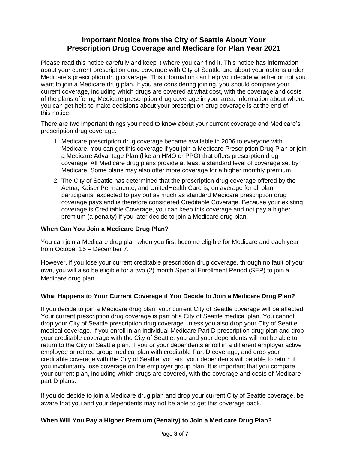## **Important Notice from the City of Seattle About Your Prescription Drug Coverage and Medicare for Plan Year 2021**

Please read this notice carefully and keep it where you can find it. This notice has information about your current prescription drug coverage with City of Seattle and about your options under Medicare's prescription drug coverage. This information can help you decide whether or not you want to join a Medicare drug plan. If you are considering joining, you should compare your current coverage, including which drugs are covered at what cost, with the coverage and costs of the plans offering Medicare prescription drug coverage in your area. Information about where you can get help to make decisions about your prescription drug coverage is at the end of this notice.

There are two important things you need to know about your current coverage and Medicare's prescription drug coverage:

- 1 Medicare prescription drug coverage became available in 2006 to everyone with Medicare. You can get this coverage if you join a Medicare Prescription Drug Plan or join a Medicare Advantage Plan (like an HMO or PPO) that offers prescription drug coverage. All Medicare drug plans provide at least a standard level of coverage set by Medicare. Some plans may also offer more coverage for a higher monthly premium.
- 2 The City of Seattle has determined that the prescription drug coverage offered by the Aetna, Kaiser Permanente, and UnitedHealth Care is, on average for all plan participants, expected to pay out as much as standard Medicare prescription drug coverage pays and is therefore considered Creditable Coverage. Because your existing coverage is Creditable Coverage, you can keep this coverage and not pay a higher premium (a penalty) if you later decide to join a Medicare drug plan.

#### **When Can You Join a Medicare Drug Plan?**

You can join a Medicare drug plan when you first become eligible for Medicare and each year from October 15 – December 7.

However, if you lose your current creditable prescription drug coverage, through no fault of your own, you will also be eligible for a two (2) month Special Enrollment Period (SEP) to join a Medicare drug plan.

#### **What Happens to Your Current Coverage if You Decide to Join a Medicare Drug Plan?**

If you decide to join a Medicare drug plan, your current City of Seattle coverage will be affected. Your current prescription drug coverage is part of a City of Seattle medical plan. You cannot drop your City of Seattle prescription drug coverage unless you also drop your City of Seattle medical coverage. If you enroll in an individual Medicare Part D prescription drug plan and drop your creditable coverage with the City of Seattle, you and your dependents will not be able to return to the City of Seattle plan. If you or your dependents enroll in a different employer active employee or retiree group medical plan with creditable Part D coverage, and drop your creditable coverage with the City of Seattle, you and your dependents will be able to return if you involuntarily lose coverage on the employer group plan. It is important that you compare your current plan, including which drugs are covered, with the coverage and costs of Medicare part D plans.

If you do decide to join a Medicare drug plan and drop your current City of Seattle coverage, be aware that you and your dependents may not be able to get this coverage back.

#### **When Will You Pay a Higher Premium (Penalty) to Join a Medicare Drug Plan?**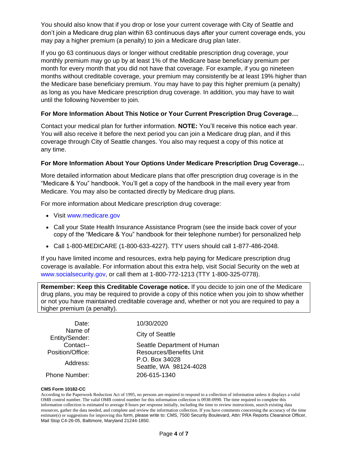You should also know that if you drop or lose your current coverage with City of Seattle and don't join a Medicare drug plan within 63 continuous days after your current coverage ends, you may pay a higher premium (a penalty) to join a Medicare drug plan later.

If you go 63 continuous days or longer without creditable prescription drug coverage, your monthly premium may go up by at least 1% of the Medicare base beneficiary premium per month for every month that you did not have that coverage. For example, if you go nineteen months without creditable coverage, your premium may consistently be at least 19% higher than the Medicare base beneficiary premium. You may have to pay this higher premium (a penalty) as long as you have Medicare prescription drug coverage. In addition, you may have to wait until the following November to join.

#### **For More Information About This Notice or Your Current Prescription Drug Coverage…**

Contact your medical plan for further information. **NOTE:** You'll receive this notice each year. You will also receive it before the next period you can join a Medicare drug plan, and if this coverage through City of Seattle changes. You also may request a copy of this notice at any time.

#### **For More Information About Your Options Under Medicare Prescription Drug Coverage…**

More detailed information about Medicare plans that offer prescription drug coverage is in the "Medicare & You" handbook. You'll get a copy of the handbook in the mail every year from Medicare. You may also be contacted directly by Medicare drug plans.

For more information about Medicare prescription drug coverage:

- Visit www.medicare.gov
- Call your State Health Insurance Assistance Program (see the inside back cover of your copy of the "Medicare & You" handbook for their telephone number) for personalized help
- Call 1-800-MEDICARE (1-800-633-4227). TTY users should call 1-877-486-2048.

If you have limited income and resources, extra help paying for Medicare prescription drug coverage is available. For information about this extra help, visit Social Security on the web at [www.socialsecurity.gov](http://www.socialsecurity.go/), or call them at 1-800-772-1213 (TTY 1-800-325-0778).

**Remember: Keep this Creditable Coverage notice.** If you decide to join one of the Medicare drug plans, you may be required to provide a copy of this notice when you join to show whether or not you have maintained creditable coverage and, whether or not you are required to pay a higher premium (a penalty).

| Date:                     | 10/30/2020                               |
|---------------------------|------------------------------------------|
| Name of<br>Entity/Sender: | <b>City of Seattle</b>                   |
| Contact--                 | Seattle Department of Human              |
| Position/Office:          | <b>Resources/Benefits Unit</b>           |
| Address:                  | P.O. Box 34028<br>Seattle, WA 98124-4028 |
| <b>Phone Number:</b>      | 206-615-1340                             |

#### **CMS Form 10182-CC**

According to the Paperwork Reduction Act of 1995, no persons are required to respond to a collection of information unless it displays a valid OMB control number. The valid OMB control number for this information collection is 0938-0990. The time required to complete this information collection is estimated to average 8 hours per response initially, including the time to review instructions, search existing data resources, gather the data needed, and complete and review the information collection. If you have comments concerning the accuracy of the time estimate(s) or suggestions for improving this form, please write to: CMS, 7500 Security Boulevard, Attn: PRA Reports Clearance Officer, Mail Stop C4-26-05, Baltimore, Maryland 21244-1850.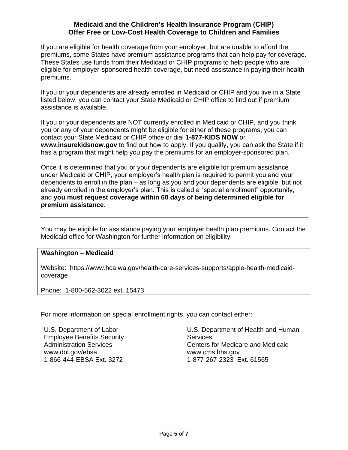#### **Medicaid and the Children's Health Insurance Program (CHIP) Offer Free or Low-Cost Health Coverage to Children and Families**

If you are eligible for health coverage from your employer, but are unable to afford the premiums, some States have premium assistance programs that can help pay for coverage. These States use funds from their Medicaid or CHIP programs to help people who are eligible for employer-sponsored health coverage, but need assistance in paying their health premiums.

If you or your dependents are already enrolled in Medicaid or CHIP and you live in a State listed below, you can contact your State Medicaid or CHIP office to find out if premium assistance is available.

If you or your dependents are NOT currently enrolled in Medicaid or CHIP, and you think you or any of your dependents might be eligible for either of these programs, you can contact your State Medicaid or CHIP office or dial **1-877-KIDS NOW** or **www.insurekidsnow.gov** to find out how to apply. If you qualify, you can ask the State if it has a program that might help you pay the premiums for an employer-sponsored plan.

Once it is determined that you or your dependents are eligible for premium assistance under Medicaid or CHIP, your employer's health plan is required to permit you and your dependents to enroll in the plan – as long as you and your dependents are eligible, but not already enrolled in the employer's plan. This is called a "special enrollment" opportunity, and **you must request coverage within 60 days of being determined eligible for premium assistance**.

You may be eligible for assistance paying your employer health plan premiums. Contact the Medicaid office for Washington for further information on eligibility.

#### **Washington – Medicaid**

Website: https://www.hca.wa.gov/health-care-services-supports/apple-health-medicaidcoverage

Phone: 1-800-562-3022 ext. 15473

For more information on special enrollment rights, you can contact either:

U.S. Department of Labor Employee Benefits Security Administration Services www.dol.gov/ebsa 1-866-444-EBSA Ext. 3272

U.S. Department of Health and Human **Services** Centers for Medicare and Medicaid www.cms.hhs.gov 1-877-267-2323 Ext. 61565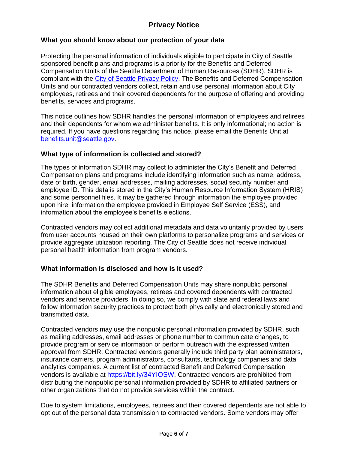## **Privacy Notice**

### **What you should know about our protection of your data**

Protecting the personal information of individuals eligible to participate in City of Seattle sponsored benefit plans and programs is a priority for the Benefits and Deferred Compensation Units of the Seattle Department of Human Resources (SDHR). SDHR is compliant with the [City of Seattle Privacy Policy.](http://www.seattle.gov/tech/initiatives/privacy/about-the-privacy-program#purpose) The Benefits and Deferred Compensation Units and our contracted vendors collect, retain and use personal information about City employees, retirees and their covered dependents for the purpose of offering and providing benefits, services and programs.

This notice outlines how SDHR handles the personal information of employees and retirees and their dependents for whom we administer benefits. It is only informational; no action is required. If you have questions regarding this notice, please email the Benefits Unit at [benefits.unit@seattle.gov.](mailto:benefits.unit@seattle.gov)

### **What type of information is collected and stored?**

The types of information SDHR may collect to administer the City's Benefit and Deferred Compensation plans and programs include identifying information such as name, address, date of birth, gender, email addresses, mailing addresses, social security number and employee ID. This data is stored in the City's Human Resource Information System (HRIS) and some personnel files. It may be gathered through information the employee provided upon hire, information the employee provided in Employee Self Service (ESS), and information about the employee's benefits elections.

Contracted vendors may collect additional metadata and data voluntarily provided by users from user accounts housed on their own platforms to personalize programs and services or provide aggregate utilization reporting. The City of Seattle does not receive individual personal health information from program vendors.

### **What information is disclosed and how is it used?**

The SDHR Benefits and Deferred Compensation Units may share nonpublic personal information about eligible employees, retirees and covered dependents with contracted vendors and service providers. In doing so, we comply with state and federal laws and follow information security practices to protect both physically and electronically stored and transmitted data.

Contracted vendors may use the nonpublic personal information provided by SDHR, such as mailing addresses, email addresses or phone number to communicate changes, to provide program or service information or perform outreach with the expressed written approval from SDHR. Contracted vendors generally include third party plan administrators, insurance carriers, program administrators, consultants, technology companies and data analytics companies. A current list of contracted Benefit and Deferred Compensation vendors is available at [https://bit.ly/34YIOSW.](https://bit.ly/34YIOSW) Contracted vendors are prohibited from distributing the nonpublic personal information provided by SDHR to affiliated partners or other organizations that do not provide services within the contract.

Due to system limitations, employees, retirees and their covered dependents are not able to opt out of the personal data transmission to contracted vendors. Some vendors may offer